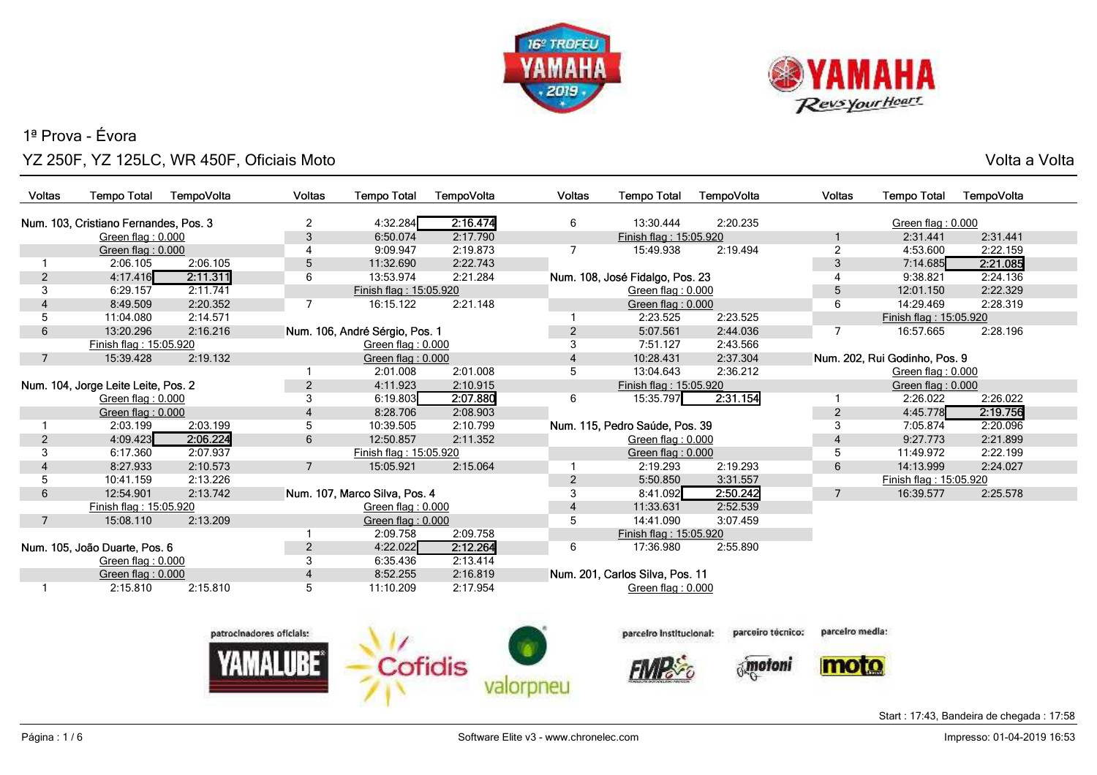



o ang pangangang sa kabupatèn sa kabupatèn Sulawesa Kabupatèn Sulawesa Kabupatèn Sulawesa Kabupatèn Sulawesa K<br>Kabupatèn Sulawesa Kabupatèn Sulawesa Kabupatèn Sulawesa Kabupatèn Sulawesa Kabupatèn Sulawesa Kabupatèn Sulaw

| Voltas                                | <b>Tempo Total</b>            | TempoVolta     | <b>Voltas</b>  | <b>Tempo Total</b>             | TempoVolta | <b>Voltas</b>          | <b>Tempo Total</b>              | TempoVolta | <b>Voltas</b>     | <b>Tempo Total</b>            | TempoVolta |
|---------------------------------------|-------------------------------|----------------|----------------|--------------------------------|------------|------------------------|---------------------------------|------------|-------------------|-------------------------------|------------|
|                                       |                               |                |                |                                |            |                        |                                 |            |                   |                               |            |
| Num. 103, Cristiano Fernandes, Pos. 3 |                               | $\overline{2}$ | 4:32.284       | 2:16.474                       | 6          | 13:30.444              | 2:20.235                        |            | Green flag: 0.000 |                               |            |
|                                       | Green flag: 0.000             |                | 3              | 6:50.074                       | 2:17.790   |                        | Finish flag: 15:05.920          |            |                   | 2:31.441                      | 2:31.441   |
|                                       | Green flag: 0.000             |                |                | 9:09.947                       | 2:19.873   |                        | 15:49.938                       | 2:19.494   | $\overline{2}$    | 4:53.600                      | 2:22.159   |
|                                       | 2:06.105                      | 2:06.105       | 5              | 11:32.690                      | 2:22.743   |                        |                                 |            | 3                 | 7:14.685                      | 2:21.085   |
| 2                                     | 4:17.416                      | 2:11.311       | 6              | 13:53.974                      | 2:21.284   |                        | Num. 108, José Fidalgo, Pos. 23 |            |                   | 9:38.821                      | 2:24.136   |
| 3                                     | 6:29.157                      | 2:11.741       |                | Finish flag: 15:05.920         |            |                        | Green flag: 0.000               |            | 5                 | 12:01.150                     | 2:22.329   |
|                                       | 8:49.509                      | 2:20.352       | 7              | 16:15.122                      | 2:21.148   |                        | Green flag: 0.000               |            | 6                 | 14:29.469                     | 2:28.319   |
| 5                                     | 11:04.080                     | 2:14.571       |                |                                |            |                        | 2:23.525                        | 2:23.525   |                   | Finish flag: 15:05.920        |            |
| 6                                     | 13:20.296                     | 2:16.216       |                | Num. 106, André Sérgio, Pos. 1 |            | 2                      | 5:07.561                        | 2:44.036   |                   | 16:57.665                     | 2:28.196   |
|                                       | Finish flag: 15:05.920        |                |                | Green flag: 0.000              |            | 3                      | 7:51.127                        | 2:43.566   |                   |                               |            |
| 7                                     | 15:39.428                     | 2:19.132       |                | Green flag: 0.000              |            | $\overline{4}$         | 10:28.431                       | 2:37.304   |                   | Num. 202, Rui Godinho, Pos. 9 |            |
|                                       |                               |                |                | 2:01.008                       | 2:01.008   | 5                      | 13:04.643                       | 2:36.212   |                   | Green flag: 0.000             |            |
| Num. 104, Jorge Leite Leite, Pos. 2   |                               | $\overline{2}$ | 4:11.923       | 2:10.915                       |            | Finish flag: 15:05.920 |                                 |            | Green flag: 0.000 |                               |            |
|                                       | Green flag: 0.000             |                | 3              | 6:19.803                       | 2:07.880   | 6                      | 15:35.797                       | 2:31.154   |                   | 2:26.022                      | 2:26.022   |
|                                       | Green flag: 0.000             |                | 4              | 8:28.706                       | 2:08.903   |                        |                                 |            | $\overline{2}$    | 4:45.778                      | 2:19.756   |
|                                       | 2:03.199                      | 2:03.199       | 5              | 10:39.505                      | 2:10.799   |                        | Num. 115, Pedro Saúde, Pos. 39  |            | 3                 | 7:05.874                      | 2:20.096   |
| 2                                     | 4:09.423                      | 2:06.224       | 6              | 12:50.857                      | 2:11.352   |                        | Green flag: $0.000$             |            |                   | 9:27.773                      | 2:21.899   |
| 3                                     | 6:17.360                      | 2:07.937       |                | Finish flag: 15:05.920         |            |                        | Green flag: $0.000$             |            | 5                 | 11:49.972                     | 2:22.199   |
|                                       | 8:27.933                      | 2:10.573       | $\overline{7}$ | 15:05.921                      | 2:15.064   |                        | 2:19.293                        | 2:19.293   | 6                 | 14:13.999                     | 2:24.027   |
| 5                                     | 10:41.159                     | 2:13.226       |                |                                |            | 2                      | 5:50.850                        | 3:31.557   |                   | Finish flag: 15:05.920        |            |
| 6                                     | 12:54.901                     | 2:13.742       |                | Num. 107, Marco Silva, Pos. 4  |            | 3                      | 8:41.092                        | 2:50.242   | 7                 | 16:39.577                     | 2:25.578   |
|                                       | Finish flag: 15:05.920        |                |                | Green flag: 0.000              |            | $\overline{4}$         | 11:33.631                       | 2:52.539   |                   |                               |            |
| 7                                     | 15:08.110                     | 2:13.209       |                | Green flag: 0.000              |            | 5                      | 14:41.090                       | 3:07.459   |                   |                               |            |
|                                       |                               |                |                | 2:09.758                       | 2:09.758   |                        | Finish flag: 15:05.920          |            |                   |                               |            |
|                                       | Num. 105, João Duarte, Pos. 6 |                | $\overline{2}$ | 4:22.022                       | 2:12.264   | 6                      | 17:36.980                       | 2:55.890   |                   |                               |            |
|                                       | Green flag: $0.000$           |                | 3              | 6:35.436                       | 2:13.414   |                        |                                 |            |                   |                               |            |
|                                       | Green flag: $0.000$           |                | 4              | 8:52.255                       | 2:16.819   |                        | Num. 201, Carlos Silva, Pos. 11 |            |                   |                               |            |
|                                       | 2:15.810                      | 2:15.810       | 5              | 11:10.209                      | 2:17.954   |                        | Green flag: 0.000               |            |                   |                               |            |
|                                       |                               |                |                |                                |            |                        |                                 |            |                   |                               |            |



parcelro Institucional:

**FIVIR** 

parcelro media: parceiro técnico:

moto *motoni*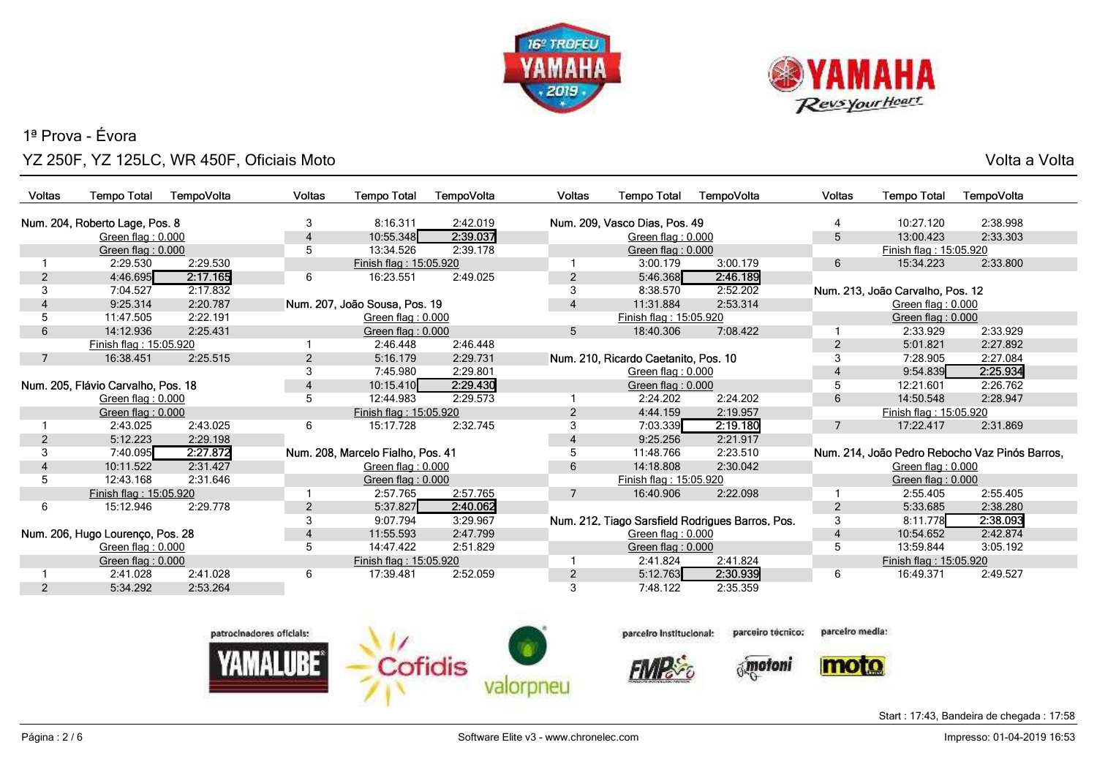



o ang pangangang sa kabupatèn sa kabupatèn Sulawesa Kabupatèn Sulawesa Kabupatèn Sulawesa Kabupatèn Sulawesa K<br>Kabupatèn Sulawesa Kabupatèn Sulawesa Kabupatèn Sulawesa Kabupatèn Sulawesa Kabupatèn Sulawesa Kabupatèn Sulaw

| <b>Voltas</b> | <b>Tempo Total</b>                 | TempoVolta | <b>Voltas</b>  | <b>Tempo Total</b>                | TempoVolta | <b>Voltas</b>  | <b>Tempo Total</b>                   | TempoVolta                                       | <b>Voltas</b> | <b>Tempo Total</b>               | TempoVolta                                     |
|---------------|------------------------------------|------------|----------------|-----------------------------------|------------|----------------|--------------------------------------|--------------------------------------------------|---------------|----------------------------------|------------------------------------------------|
|               |                                    |            |                |                                   |            |                |                                      |                                                  |               |                                  |                                                |
|               | Num. 204, Roberto Lage, Pos. 8     |            | 3              | 8:16.311                          | 2:42.019   |                | Num. 209, Vasco Dias, Pos. 49        |                                                  |               | 10:27.120                        | 2:38.998                                       |
|               | Green flag: 0.000                  |            | 4              | 10:55.348                         | 2:39.037   |                | Green flag: 0.000                    |                                                  | 5             | 13:00.423                        | 2:33.303                                       |
|               | Green flag: $0.000$                |            | 5              | 13:34.526                         | 2:39.178   |                | Green flag: 0.000                    |                                                  |               | Finish flag: 15:05.920           |                                                |
|               | 2:29.530                           | 2:29.530   |                | Finish flag: 15:05.920            |            |                | 3:00.179                             | 3:00.179                                         | 6             | 15:34.223                        | 2:33.800                                       |
| 2             | 4:46.695                           | 2:17.165   | 6              | 16:23.551                         | 2:49.025   | $\overline{2}$ | 5:46.368                             | 2:46.189                                         |               |                                  |                                                |
| 3             | 7:04.527                           | 2:17.832   |                |                                   |            |                | 8:38.570                             | 2:52.202                                         |               | Num. 213, João Carvalho, Pos. 12 |                                                |
|               | 9:25.314                           | 2:20.787   |                | Num. 207, João Sousa, Pos. 19     |            | 4              | 11:31.884                            | 2:53.314                                         |               | Green flag: 0.000                |                                                |
|               | 11:47.505                          | 2:22.191   |                | Green flag: 0.000                 |            |                | Finish flag: 15:05.920               |                                                  |               | Green flag: $0.000$              |                                                |
| 6             | 14:12.936                          | 2:25.431   |                | Green flag: 0.000                 |            | 5              | 18:40.306                            | 7:08.422                                         |               | 2:33.929                         | 2:33.929                                       |
|               | Finish flag: 15:05.920             |            |                | 2:46.448                          | 2:46.448   |                |                                      |                                                  | 2             | 5:01.821                         | 2:27.892                                       |
| 7             | 16:38.451                          | 2:25.515   | 2              | 5:16.179                          | 2:29.731   |                | Num. 210, Ricardo Caetanito, Pos. 10 |                                                  | 3             | 7:28.905                         | 2:27.084                                       |
|               |                                    |            | 3              | 7:45.980                          | 2:29.801   |                | Green flag: 0.000                    |                                                  |               | 9:54.839                         | 2:25.934                                       |
|               | Num. 205, Flávio Carvalho, Pos. 18 |            | $\overline{4}$ | 10:15.410                         | 2:29.430   |                | Green flag: $0.000$                  |                                                  | 5             | 12:21.601                        | 2:26.762                                       |
|               | Green flag: 0.000                  |            | 5              | 12:44.983                         | 2:29.573   |                | 2:24.202                             | 2:24.202                                         | 6             | 14:50.548                        | 2:28.947                                       |
|               | Green flag: 0.000                  |            |                | Finish flag: 15:05.920            |            | $\overline{2}$ | 4:44.159                             | 2:19.957                                         |               | Finish flag: 15:05.920           |                                                |
|               | 2:43.025                           | 2:43.025   | 6              | 15:17.728                         | 2:32.745   | 3              | 7:03.339                             | 2:19.180                                         | 7             | 17:22.417                        | 2:31.869                                       |
| 2             | 5:12.223                           | 2:29.198   |                |                                   |            | 4              | 9:25.256                             | 2:21.917                                         |               |                                  |                                                |
|               | 7:40.095                           | 2:27.872   |                | Num. 208, Marcelo Fialho, Pos. 41 |            |                | 11:48.766                            | 2:23.510                                         |               |                                  | Num. 214, João Pedro Rebocho Vaz Pinós Barros, |
|               | 10:11.522                          | 2:31.427   |                | Green flag: $0.000$               |            | 6              | 14:18.808                            | 2:30.042                                         |               | Green flag: 0.000                |                                                |
| 5             | 12:43.168                          | 2:31.646   |                | Green flag: $0.000$               |            |                | Finish flag: 15:05.920               |                                                  |               | Green flag: $0.000$              |                                                |
|               | Finish flag: 15:05.920             |            |                | 2:57.765                          | 2:57.765   |                | 16:40.906                            | 2:22.098                                         |               | 2:55.405                         | 2:55.405                                       |
| 6             | 15:12.946                          | 2:29.778   | $\overline{2}$ | 5:37.827                          | 2:40.062   |                |                                      |                                                  | 2             | 5:33.685                         | 2:38.280                                       |
|               |                                    |            | 3              | 9:07.794                          | 3:29.967   |                |                                      | Num. 212, Tiago Sarsfield Rodrigues Barros, Pos. | 3             | 8:11.778                         | 2:38.093                                       |
|               | Num. 206, Hugo Lourenço, Pos. 28   |            | $\overline{4}$ | 11:55.593                         | 2:47.799   |                | Green flag: 0.000                    |                                                  | 4             | 10:54.652                        | 2:42.874                                       |
|               | Green flag: 0.000                  |            | 5              | 14:47.422                         | 2:51.829   |                | Green flag: $0.000$                  |                                                  | 5             | 13:59.844                        | 3:05.192                                       |
|               | Green flag: $0.000$                |            |                | Finish flag: 15:05.920            |            |                | 2:41.824                             | 2:41.824                                         |               | Finish flag: 15:05.920           |                                                |
|               | 2:41.028                           | 2:41.028   | 6              | 17:39.481                         | 2:52.059   | 2              | 5:12.763                             | 2:30.939                                         | 6             | 16:49.371                        | 2:49.527                                       |
|               | 5:34.292                           | 2:53.264   |                |                                   |            |                | 7:48.122                             | 2:35.359                                         |               |                                  |                                                |



parcelro Institucional:

**FIVIR** 

parcelro media: parceiro técnico:

*motoni* 

moto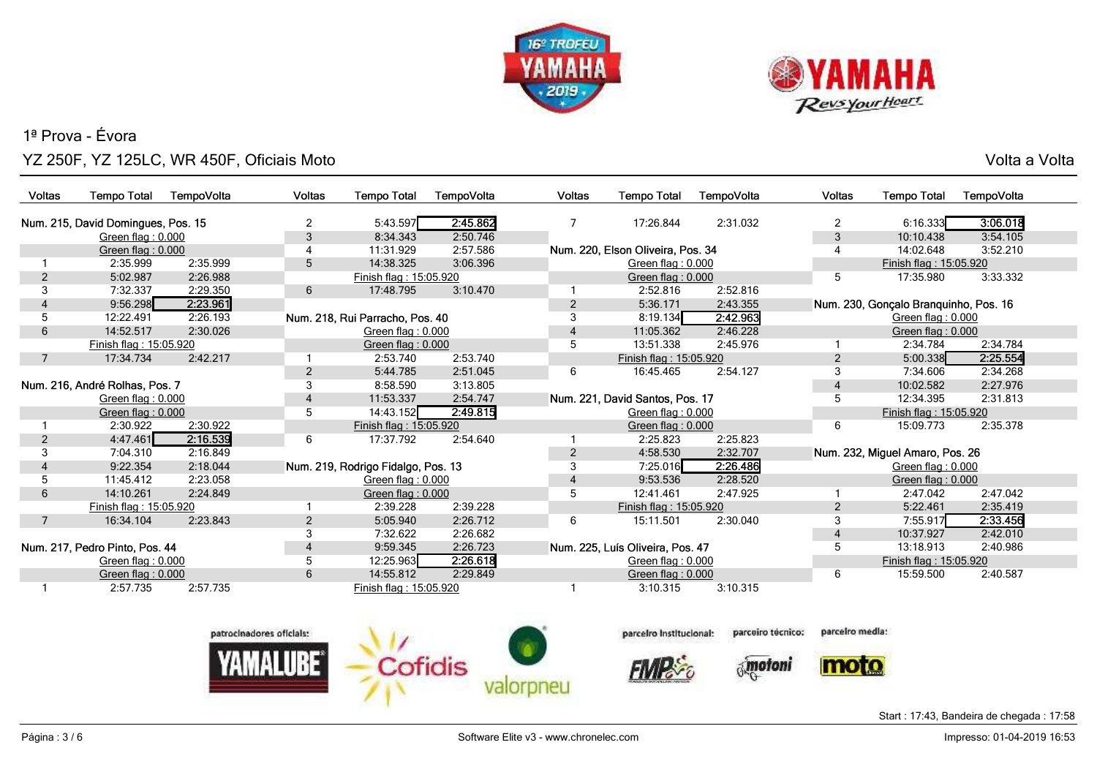



o ang pangangang sa kabupatèn sa kabupatèn Sulawesa Kabupatèn Sulawesa Kabupatèn Sulawesa Kabupatèn Sulawesa K<br>Kabupatèn Sulawesa Kabupatèn Sulawesa Kabupatèn Sulawesa Kabupatèn Sulawesa Kabupatèn Sulawesa Kabupatèn Sulaw

| <b>Voltas</b>                  | <b>Tempo Total</b>                 | TempoVolta | Voltas         | <b>Tempo Total</b>                 | TempoVolta | <b>Voltas</b>                    | <b>Tempo Total</b>                | TempoVolta | <b>Voltas</b>  | <b>Tempo Total</b>                    | TempoVolta |  |  |
|--------------------------------|------------------------------------|------------|----------------|------------------------------------|------------|----------------------------------|-----------------------------------|------------|----------------|---------------------------------------|------------|--|--|
|                                | Num. 215, David Domingues, Pos. 15 |            | $\overline{2}$ | 5:43.597                           | 2:45.862   |                                  | 17:26.844                         | 2:31.032   | $\overline{2}$ | 6:16.333                              | 3:06.018   |  |  |
|                                | Green flag: 0.000                  |            | 3              | 8:34.343                           | 2:50.746   |                                  |                                   |            | 3              | 10:10.438                             | 3:54.105   |  |  |
|                                | Green flag: 0.000                  |            | 4              | 11:31.929                          | 2:57.586   |                                  | Num. 220, Elson Oliveira, Pos. 34 |            | 4              | 14:02.648                             | 3:52.210   |  |  |
|                                | 2:35.999                           | 2:35.999   | 5              | 14:38.325                          | 3:06.396   |                                  | Green flag: 0.000                 |            |                | Finish flag: 15:05.920                |            |  |  |
| 2                              | 5:02.987                           | 2:26.988   |                | Finish flag: 15:05.920             |            |                                  | Green flag: 0.000                 |            | 5              | 17:35.980                             | 3:33.332   |  |  |
| 3                              | 7:32.337                           | 2:29.350   | 6              | 17:48.795                          | 3:10.470   |                                  | 2:52.816                          | 2:52.816   |                |                                       |            |  |  |
|                                | 9:56.298                           | 2:23.961   |                |                                    |            | 2                                | 5:36.171                          | 2:43.355   |                | Num. 230, Gonçalo Branquinho, Pos. 16 |            |  |  |
|                                | 12:22.491                          | 2:26.193   |                | Num. 218, Rui Parracho, Pos. 40    |            | 3                                | 8:19.134                          | 2:42.963   |                | Green flag: 0.000                     |            |  |  |
| 6                              | 14:52.517                          | 2:30.026   |                | Green flag: 0.000                  |            | 4                                | 11:05.362                         | 2:46.228   |                | Green flag: 0.000                     |            |  |  |
|                                | Finish flag: 15:05.920             |            |                | Green flag: 0.000                  |            | 5                                | 13:51.338                         | 2:45.976   |                | 2:34.784                              | 2:34.784   |  |  |
| 7                              | 17:34.734                          | 2:42.217   |                | 2:53.740                           | 2:53.740   |                                  | Finish flag: 15:05.920            |            | $\overline{2}$ | 5:00.338                              | 2:25.554   |  |  |
|                                |                                    |            | $\overline{2}$ | 5:44.785                           | 2:51.045   | 6                                | 16:45.465                         | 2:54.127   | 3              | 7:34.606                              | 2:34.268   |  |  |
| Num. 216, André Rolhas, Pos. 7 |                                    | 3          | 8:58.590       | 3:13.805                           |            |                                  |                                   | 4          | 10:02.582      | 2:27.976                              |            |  |  |
|                                | Green flag: $0.000$                |            | 4              | 11:53.337                          | 2:54.747   |                                  | Num. 221, David Santos, Pos. 17   |            | 5              | 12:34.395                             | 2:31.813   |  |  |
|                                | Green flag: 0.000                  |            | 5              | 14:43.152<br>2:49.815              |            |                                  | Green flag: 0.000                 |            |                | Finish flag: 15:05.920                |            |  |  |
|                                | 2:30.922                           | 2:30.922   |                | Finish flag: 15:05.920             |            |                                  | Green flag: 0.000                 |            | 6              | 15:09.773                             | 2:35.378   |  |  |
| $\overline{2}$                 | 4:47.461                           | 2:16.539   | 6              | 17:37.792                          | 2:54.640   |                                  | 2:25.823                          | 2:25.823   |                |                                       |            |  |  |
|                                | 7:04.310                           | 2:16.849   |                |                                    |            | $\overline{2}$                   | 4:58.530                          | 2:32.707   |                | Num. 232, Miguel Amaro, Pos. 26       |            |  |  |
|                                | 9:22.354                           | 2:18.044   |                | Num. 219, Rodrigo Fidalgo, Pos. 13 |            |                                  | 7:25.016                          | 2:26.486   |                | Green flag: 0.000                     |            |  |  |
| 5                              | 11:45.412                          | 2:23.058   |                | Green flag: 0.000                  |            | 4                                | 9:53.536                          | 2:28.520   |                | Green flag: $0.000$                   |            |  |  |
| 6                              | 14:10.261                          | 2:24.849   |                | Green flag: 0.000                  |            | 5                                | 12:41.461                         | 2:47.925   |                | 2:47.042                              | 2:47.042   |  |  |
|                                | Finish flag: 15:05.920             |            |                | 2:39.228                           | 2:39.228   |                                  | Finish flag: 15:05.920            |            | $\overline{2}$ | 5:22.461                              | 2:35.419   |  |  |
| 7                              | 16:34.104                          | 2:23.843   | $\overline{2}$ | 5:05.940                           | 2:26.712   | 6                                | 15:11.501                         | 2:30.040   | 3              | 7:55.917                              | 2:33.456   |  |  |
|                                |                                    |            | 3              | 7:32.622                           | 2:26.682   |                                  |                                   |            | 4              | 10:37.927                             | 2:42.010   |  |  |
| Num. 217, Pedro Pinto, Pos. 44 |                                    | 4          | 9:59.345       | 2:26.723                           |            | Num. 225, Luís Oliveira, Pos. 47 |                                   | 5          | 13:18.913      | 2:40.986                              |            |  |  |
|                                | Green flag: 0.000                  |            | 5              | 12:25.963                          | 2:26.618   |                                  | Green flag: 0.000                 |            |                | Finish flag: 15:05.920                |            |  |  |
|                                | Green flag: $0.000$                |            | 6              | 14:55.812                          | 2:29.849   |                                  | Green flag: 0.000                 |            | 6              | 15:59.500                             | 2:40.587   |  |  |
|                                | 2:57.735                           | 2:57.735   |                | Finish flag: 15:05.920             |            |                                  | 3:10.315                          | 3:10.315   |                |                                       |            |  |  |



parceiro técnico:

*motoni* 

parcelro media:

moto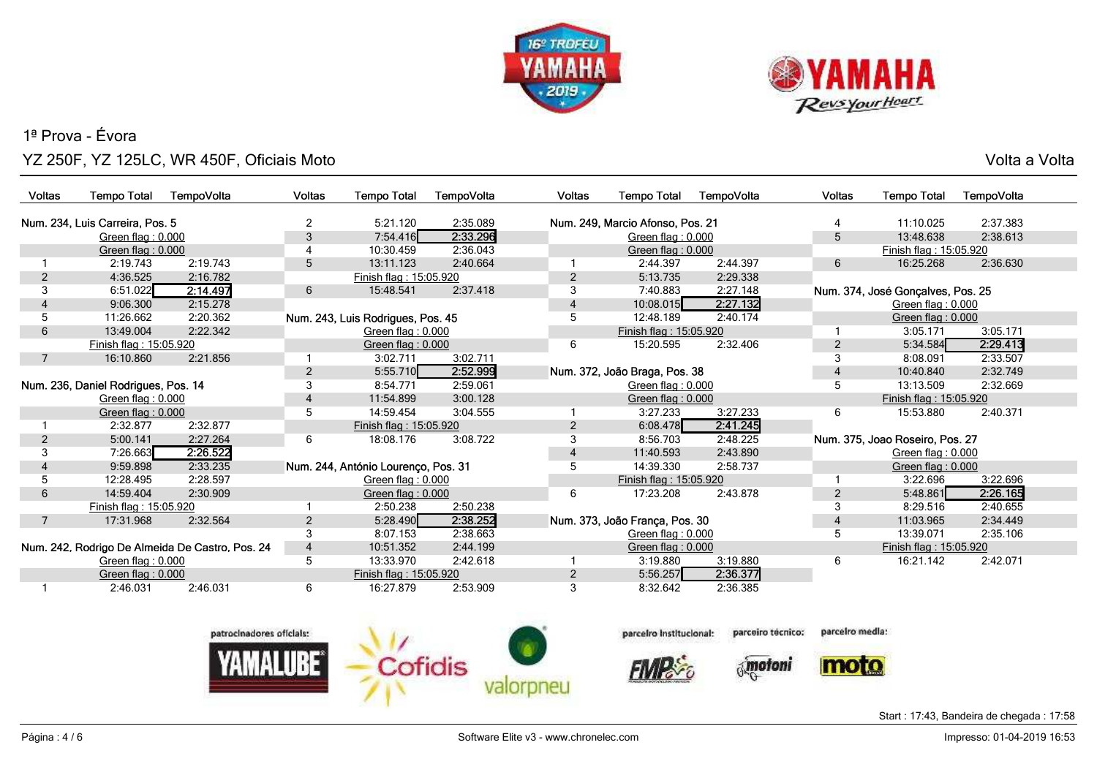



o ang pangangang sa kabupatèn sa kabupatèn Sulawesa Kabupatèn Sulawesa Kabupatèn Sulawesa Kabupatèn Sulawesa K<br>Kabupatèn Sulawesa Kabupatèn Sulawesa Kabupatèn Sulawesa Kabupatèn Sulawesa Kabupatèn Sulawesa Kabupatèn Sulaw

| <b>Voltas</b>                       | <b>Tempo Total</b>              | TempoVolta                                      | Voltas         | <b>Tempo Total</b>                  | TempoVolta | <b>Voltas</b>     | <b>Tempo Total</b>               | TempoVolta | <b>Voltas</b>                   | <b>Tempo Total</b>                | TempoVolta |
|-------------------------------------|---------------------------------|-------------------------------------------------|----------------|-------------------------------------|------------|-------------------|----------------------------------|------------|---------------------------------|-----------------------------------|------------|
|                                     |                                 |                                                 |                |                                     |            |                   |                                  |            |                                 |                                   |            |
|                                     | Num. 234, Luis Carreira, Pos. 5 |                                                 | $\overline{2}$ | 5:21.120                            | 2:35.089   |                   | Num. 249, Marcio Afonso, Pos. 21 |            |                                 | 11:10.025                         | 2:37.383   |
|                                     | Green flag: 0.000               |                                                 | 3              | 7:54.416                            | 2:33.296   |                   | Green flag: 0.000                |            | 5                               | 13:48.638                         | 2:38.613   |
|                                     | Green flag: 0.000               |                                                 |                | 10:30.459                           | 2:36.043   |                   | Green flag: 0.000                |            |                                 | Finish flag: 15:05.920            |            |
|                                     | 2:19.743                        | 2:19.743                                        | 5              | 13:11.123                           | 2:40.664   |                   | 2:44.397                         | 2:44.397   | 6                               | 16:25.268                         | 2:36.630   |
| 2                                   | 4:36.525                        | 2:16.782                                        |                | Finish flag: 15:05.920              |            | $\overline{2}$    | 5:13.735                         | 2:29.338   |                                 |                                   |            |
| 3                                   | 6:51.022                        | 2:14.497                                        | 6              | 15:48.541                           | 2:37.418   | 3                 | 7:40.883                         | 2:27.148   |                                 | Num. 374, José Gonçalves, Pos. 25 |            |
|                                     | 9:06.300                        | 2:15.278                                        |                |                                     |            |                   | 10:08.015                        | 2:27.132   |                                 | Green flag: 0.000                 |            |
| 5                                   | 11:26.662                       | 2:20.362                                        |                | Num. 243, Luis Rodrigues, Pos. 45   |            | 5                 | 12:48.189                        | 2:40.174   |                                 | Green flag: $0.000$               |            |
| 6                                   | 13:49.004                       | 2:22.342                                        |                | Green flag: 0.000                   |            |                   | Finish flag: 15:05.920           |            |                                 | 3:05.171                          | 3:05.171   |
|                                     | Finish flag: 15:05.920          |                                                 |                | Green flag: 0.000                   |            | 6                 | 15:20.595                        | 2:32.406   | $\overline{2}$                  | 5:34.584                          | 2:29.413   |
| 7                                   | 16:10.860                       | 2:21.856                                        |                | 3:02.711                            | 3:02.711   |                   |                                  |            | 3                               | 8:08.091                          | 2:33.507   |
|                                     |                                 |                                                 | $\overline{2}$ | 5:55.710                            | 2:52.999   |                   | Num. 372, João Braga, Pos. 38    |            | 4                               | 10:40.840                         | 2:32.749   |
| Num. 236, Daniel Rodrigues, Pos. 14 |                                 | 3                                               | 8:54.771       | 2:59.061                            |            | Green flag: 0.000 |                                  | 5          | 13:13.509                       | 2:32.669                          |            |
| Green flag: 0.000                   |                                 | 4                                               | 11:54.899      | 3:00.128                            |            | Green flag: 0.000 |                                  |            | Finish flag: 15:05.920          |                                   |            |
|                                     | Green flag: 0.000               |                                                 | 5              | 14:59.454                           | 3:04.555   |                   | 3:27.233                         | 3:27.233   | 6                               | 15:53.880                         | 2:40.371   |
|                                     | 2:32.877                        | 2:32.877                                        |                | Finish flag: 15:05.920              |            | 2                 | 6:08.478                         | 2:41.245   |                                 |                                   |            |
| 2                                   | 5:00.141                        | 2:27.264                                        | 6              | 18:08.176                           | 3:08.722   | 3                 | 8:56.703                         | 2:48.225   | Num. 375, Joao Roseiro, Pos. 27 |                                   |            |
| 3                                   | 7:26.663                        | 2:26.522                                        |                |                                     |            | 4                 | 11:40.593                        | 2:43.890   |                                 | Green flag: 0.000                 |            |
|                                     | 9:59.898                        | 2:33.235                                        |                | Num. 244, António Lourenço, Pos. 31 |            | 5                 | 14:39.330                        | 2:58.737   |                                 | Green flag: 0.000                 |            |
| 5                                   | 12:28.495                       | 2:28.597                                        |                | Green flag: 0.000                   |            |                   | Finish flag: 15:05.920           |            |                                 | 3:22.696                          | 3:22.696   |
| 6                                   | 14:59.404                       | 2:30.909                                        |                | Green flag: $0.000$                 |            | 6                 | 17:23.208                        | 2:43.878   | $\overline{2}$                  | 5:48.861                          | 2:26.165   |
|                                     | Finish flag: 15:05.920          |                                                 |                | 2:50.238                            | 2:50.238   |                   |                                  |            | 3                               | 8:29.516                          | 2:40.655   |
| 7                                   | 17:31.968                       | 2:32.564                                        | $\overline{2}$ | 5:28.490                            | 2:38.252   |                   | Num. 373, João França, Pos. 30   |            | 4                               | 11:03.965                         | 2:34.449   |
|                                     |                                 |                                                 |                | 8:07.153                            | 2:38.663   |                   | Green flag: 0.000                |            | 5                               | 13:39.071                         | 2:35.106   |
|                                     |                                 | Num. 242, Rodrigo De Almeida De Castro, Pos. 24 | $\overline{4}$ | 10:51.352                           | 2:44.199   |                   | Green flag: 0.000                |            |                                 | Finish flag: 15:05.920            |            |
|                                     | Green flag: 0.000               |                                                 | 5              | 13:33.970                           | 2:42.618   |                   | 3:19.880                         | 3:19.880   | 6                               | 16:21.142                         | 2:42.071   |
|                                     | Green flag: $0.000$             |                                                 |                | Finish flag: 15:05.920              |            | $\overline{2}$    | 5:56.257                         | 2:36.377   |                                 |                                   |            |
|                                     | 2:46.031                        | 2:46.031                                        | 6              | 16:27.879                           | 2:53.909   | 3                 | 8:32.642                         | 2:36.385   |                                 |                                   |            |
|                                     |                                 |                                                 |                |                                     |            |                   |                                  |            |                                 |                                   |            |



parcelro Institucional:

**FIVIR** 

parcelro media: parceiro técnico:

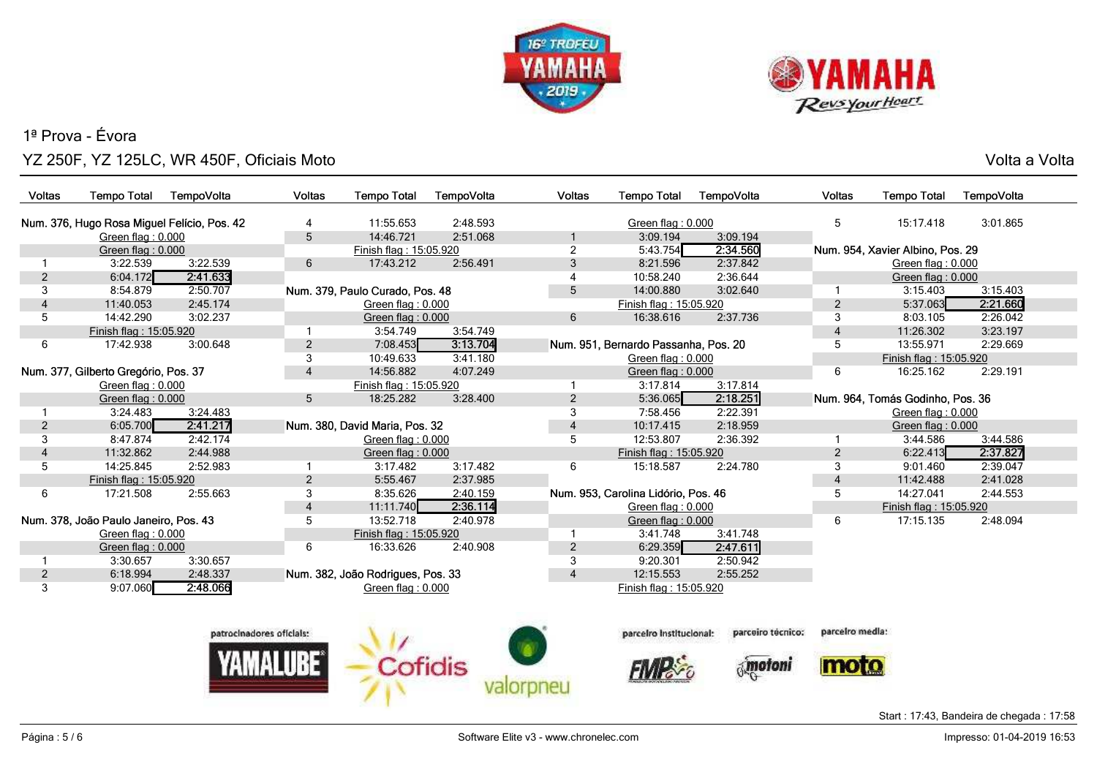



*<u><u> Maria Canada</u> (Maria Canada)*<br>A</u>

 $7<sup>1</sup>$ 

o ang pangangang sa kabupatèn sa kabupatèn Sulawesa Kabupatèn Sulawesa Kabupatèn Sulawesa Kabupatèn Sulawesa K<br>Kabupatèn Sulawesa Kabupatèn Sulawesa Kabupatèn Sulawesa Kabupatèn Sulawesa Kabupatèn Sulawesa Kabupatèn Sulaw

| Voltas         | <b>Tempo Total</b>                          | TempoVolta | <b>Voltas</b>            | <b>Tempo Total</b>                | TempoVolta | <b>Voltas</b>   | <b>Tempo Total</b>                   | TempoVolta        | Voltas          | <b>Tempo Total</b>               | TempoVolta |
|----------------|---------------------------------------------|------------|--------------------------|-----------------------------------|------------|-----------------|--------------------------------------|-------------------|-----------------|----------------------------------|------------|
|                | Num. 376, Hugo Rosa Miguel Felício, Pos. 42 |            | 4                        | 11:55.653                         | 2:48.593   |                 | Green flag: 0.000                    |                   | 5               | 15:17.418                        | 3:01.865   |
|                | Green flag: 0.000                           |            | $5\phantom{.0}$          | 14:46.721                         | 2:51.068   |                 | 3:09.194                             | 3:09.194          |                 |                                  |            |
|                | Green flag: 0.000                           |            |                          | Finish flag: 15:05.920            |            | $\overline{2}$  | 5:43.754                             | 2:34.560          |                 | Num. 954, Xavier Albino, Pos. 29 |            |
| 1              | 3:22.539                                    | 3:22.539   | 6                        | 17:43.212                         | 2:56.491   | 3               | 8:21.596                             | 2:37.842          |                 | Green flag: 0.000                |            |
| $\overline{c}$ | 6:04.172                                    | 2:41.633   |                          |                                   |            | 4               | 10:58.240                            | 2:36.644          |                 | Green flag: 0.000                |            |
| 3              | 8:54.879                                    | 2:50.707   |                          | Num. 379, Paulo Curado, Pos. 48   |            | $5\overline{)}$ | 14:00.880                            | 3:02.640          | -1              | 3:15.403                         | 3:15.403   |
| 4              | 11:40.053                                   | 2:45.174   |                          | Green flag: 0.000                 |            |                 | Finish flag: 15:05.920               |                   | $\overline{2}$  | 5:37.063                         | 2:21.660   |
| 5              | 14:42.290                                   | 3:02.237   |                          | Green flag: 0.000                 |            | 6               | 16:38.616                            | 2:37.736          | 3               | 8:03.105                         | 2:26.042   |
|                | Finish flag: 15:05.920                      |            |                          | 3:54.749                          | 3:54.749   |                 |                                      |                   | 4               | 11:26.302                        | 3:23.197   |
| 6              | 17:42.938                                   | 3:00.648   | $\overline{2}$           | 7:08.453                          | 3:13.704   |                 | Num. 951, Bernardo Passanha, Pos. 20 |                   | 5               | 13:55.971                        | 2:29.669   |
|                |                                             |            | 3                        | 10:49.633                         | 3:41.180   |                 | Green flag: 0.000                    |                   |                 | Finish flag: 15:05.920           |            |
|                | Num. 377, Gilberto Gregório, Pos. 37        |            | $\overline{4}$           | 14:56.882                         | 4:07.249   |                 | Green flag: $0.000$                  |                   | 6               | 16:25.162                        | 2:29.191   |
|                | Green flag: 0.000                           |            |                          | Finish flag: 15:05.920            |            |                 | 3:17.814                             | 3:17.814          |                 |                                  |            |
|                | Green flag: 0.000                           |            | 5                        | 18:25.282                         | 3:28.400   | $\overline{2}$  | 5:36.065                             | 2:18.251          |                 | Num. 964, Tomás Godinho, Pos. 36 |            |
|                | 3:24.483                                    | 3:24.483   |                          |                                   |            | 3               | 7:58.456                             | 2:22.391          |                 | Green flag: 0.000                |            |
| $\overline{c}$ | 6:05.700                                    | 2:41.217   |                          | Num. 380, David Maria, Pos. 32    |            | $\overline{4}$  | 10:17.415                            | 2:18.959          |                 | Green flag: 0.000                |            |
| 3              | 8:47.874                                    | 2:42.174   |                          | Green flag: 0.000                 |            | 5               | 12:53.807                            | 2:36.392          |                 | 3:44.586                         | 3:44.586   |
|                | 11:32.862                                   | 2:44.988   |                          | Green flag: 0.000                 |            |                 | Finish flag: 15:05.920               |                   | $\overline{a}$  | 6:22.413                         | 2:37.827   |
| 5              | 14:25.845                                   | 2:52.983   |                          | 3:17.482                          | 3:17.482   | 6               | 15:18.587                            | 2:24.780          | 3               | 9:01.460                         | 2:39.047   |
|                | Finish flag: 15:05.920                      |            | $\overline{a}$           | 5:55.467                          | 2:37.985   |                 |                                      |                   | 4               | 11:42.488                        | 2:41.028   |
| 6              | 17:21.508                                   | 2:55.663   | 3                        | 8:35.626                          | 2:40.159   |                 | Num. 953, Carolina Lidório, Pos. 46  |                   | 5               | 14:27.041                        | 2:44.553   |
|                |                                             |            | $\overline{4}$           | 11:11.740                         | 2:36.114   |                 | Green flag: 0.000                    |                   |                 | Finish flag: 15:05.920           |            |
|                | Num. 378, João Paulo Janeiro, Pos. 43       |            | 5                        | 13:52.718                         | 2:40.978   |                 | Green flag: $0.000$                  |                   | 6               | 17:15.135                        | 2:48.094   |
|                | Green flag: 0.000                           |            |                          | Finish flag: 15:05.920            |            |                 | 3:41.748                             | 3:41.748          |                 |                                  |            |
|                | Green flag: 0.000                           |            | 6                        | 16:33.626                         | 2:40.908   | $\overline{2}$  | 6:29.359                             | 2:47.611          |                 |                                  |            |
|                | 3:30.657                                    | 3:30.657   |                          |                                   |            | 3               | 9:20.301                             | 2:50.942          |                 |                                  |            |
| $\overline{c}$ | 6:18.994                                    | 2:48.337   |                          | Num. 382, João Rodrigues, Pos. 33 |            | $\overline{4}$  | 12:15.553                            | 2:55.252          |                 |                                  |            |
| 3              | 9:07.060                                    | 2:48.066   |                          | Green flag: 0.000                 |            |                 | Finish flag: 15:05.920               |                   |                 |                                  |            |
|                |                                             |            |                          |                                   |            |                 |                                      |                   |                 |                                  |            |
|                |                                             |            | patrocinadores oficiais: |                                   |            |                 | parceiro institucional:              | parceiro técnico: | parcelro media: |                                  |            |
|                |                                             |            |                          |                                   |            |                 |                                      |                   |                 |                                  |            |
|                |                                             |            |                          |                                   |            |                 |                                      | motoni            |                 |                                  |            |

valorpneu